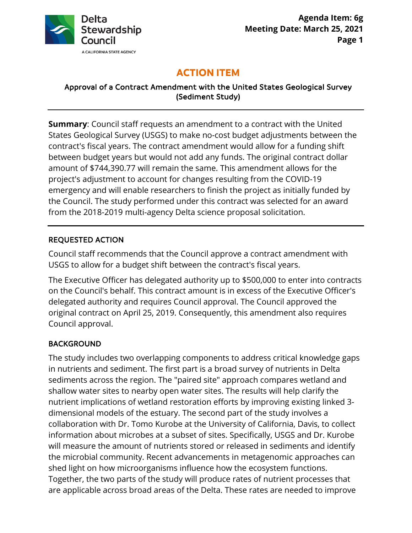

# **ACTION ITEM**

Approval of a Contract Amendment with the United States Geological Survey (Sediment Study)

 contract's fiscal years. The contract amendment would allow for a funding shift the Council. The study performed under this contract was selected for an award **Summary**: Council staff requests an amendment to a contract with the United States Geological Survey (USGS) to make no-cost budget adjustments between the between budget years but would not add any funds. The original contract dollar amount of [\\$744,390.77](https://744,390.77) will remain the same. This amendment allows for the project's adjustment to account for changes resulting from the COVID-19 emergency and will enable researchers to finish the project as initially funded by from the 2018-2019 multi-agency Delta science proposal solicitation.

#### REQUESTED ACTION

 USGS to allow for a budget shift between the contract's fiscal years. Council staff recommends that the Council approve a contract amendment with

 on the Council's behalf. This contract amount is in excess of the Executive Officer's original contract on April 25, 2019. Consequently, this amendment also requires The Executive Officer has delegated authority up to \$500,000 to enter into contracts delegated authority and requires Council approval. The Council approved the Council approval.

# BACKGROUND

 in nutrients and sediment. The first part is a broad survey of nutrients in Delta sediments across the region. The "paired site" approach compares wetland and dimensional models of the estuary. The second part of the study involves a collaboration with Dr. Tomo Kurobe at the University of California, Davis, to collect the microbial community. Recent advancements in metagenomic approaches can shed light on how microorganisms influence how the ecosystem functions. The study includes two overlapping components to address critical knowledge gaps shallow water sites to nearby open water sites. The results will help clarify the nutrient implications of wetland restoration efforts by improving existing linked 3 information about microbes at a subset of sites. Specifically, USGS and Dr. Kurobe will measure the amount of nutrients stored or released in sediments and identify Together, the two parts of the study will produce rates of nutrient processes that are applicable across broad areas of the Delta. These rates are needed to improve